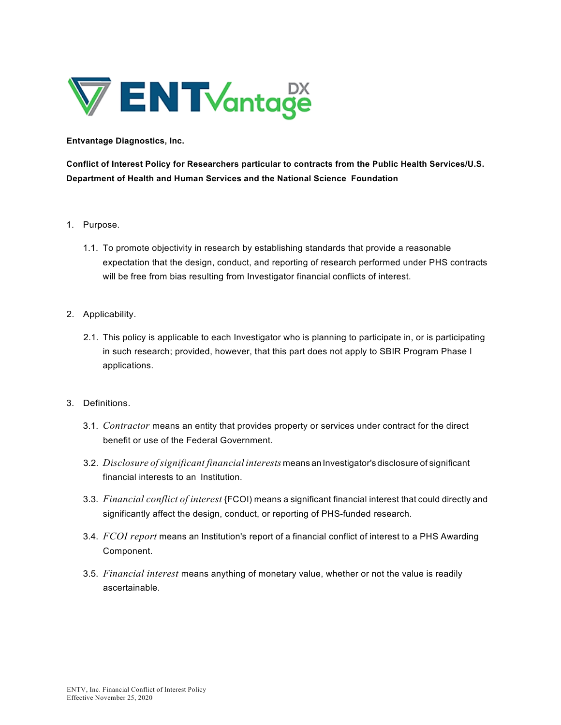

**Entvantage Diagnostics, Inc.**

**Conflict of Interest Policy for Researchers particular to contracts from the Public Health Services/U.S. Department of Health and Human Services and the National Science Foundation**

- 1. Purpose.
	- 1.1. To promote objectivity in research by establishing standards that provide a reasonable expectation that the design, conduct, and reporting of research performed under PHS contracts will be free from bias resulting from Investigator financial conflicts of interest.
- 2. Applicability.
	- 2.1. This policy is applicable to each Investigator who is planning to participate in, or is participating in such research; provided, however, that this part does not apply to SBIR Program Phase I applications.
- 3. Definitions.
	- 3.1. *Contractor* means an entity that provides property or services under contract for the direct benefit or use of the Federal Government.
	- 3.2. *Disclosure ofsignificant financial interests* means an Investigator's disclosure of significant financial interests to an Institution.
	- 3.3. *Financial conflict of interest* {FCOI) means a significant financial interest that could directly and significantly affect the design, conduct, or reporting of PHS-funded research.
	- 3.4. *FCOI report* means an Institution's report of a financial conflict of interest to a PHS Awarding Component.
	- 3.5. *Financial interest* means anything of monetary value, whether or not the value is readily ascertainable.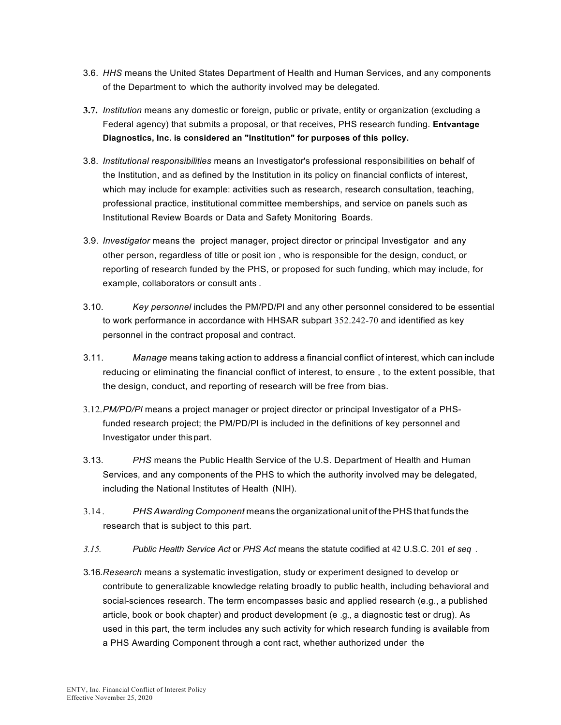- 3.6. *HHS* means the United States Department of Health and Human Services, and any components of the Department to which the authority involved may be delegated.
- **3.7.** *Institution* means any domestic or foreign, public or private, entity or organization (excluding a Federal agency) that submits a proposal, or that receives, PHS research funding. **Entvantage Diagnostics, Inc. is considered an "Institution" for purposes of this policy.**
- 3.8. *Institutional responsibilities* means an Investigator's professional responsibilities on behalf of the Institution, and as defined by the Institution in its policy on financial conflicts of interest, which may include for example: activities such as research, research consultation, teaching, professional practice, institutional committee memberships, and service on panels such as Institutional Review Boards or Data and Safety Monitoring Boards.
- 3.9. *Investigator* means the project manager, project director or principal Investigator and any other person, regardless of title or posit ion , who is responsible for the design, conduct, or reporting of research funded by the PHS, or proposed for such funding, which may include, for example, collaborators or consult ants .
- 3.10. *Key personnel* includes the PM/PD/Pl and any other personnel considered to be essential to work performance in accordance with HHSAR subpart 352.242-70 and identified as key personnel in the contract proposal and contract.
- 3.11. *Manage* means taking action to address a financial conflict of interest, which can include reducing or eliminating the financial conflict of interest, to ensure , to the extent possible, that the design, conduct, and reporting of research will be free from bias.
- 3.12.*PM/PD/Pl* means a project manager or project director or principal Investigator of a PHSfunded research project; the PM/PD/Pl is included in the definitions of key personnel and Investigator under thispart.
- 3.13. *PHS* means the Public Health Service of the U.S. Department of Health and Human Services, and any components of the PHS to which the authority involved may be delegated, including the National Institutes of Health (NIH).
- 3.14 . *PHSAwarding Component* means the organizational unit ofthePHSthat funds the research that is subject to this part.
- *3.15. Public Health Service Act* or *PHS Act* means the statute codified at 42 U.S.C. 201 *et seq .*
- 3.16.*Research* means a systematic investigation, study or experiment designed to develop or contribute to generalizable knowledge relating broadly to public health, including behavioral and social-sciences research. The term encompasses basic and applied research (e.g., a published article, book or book chapter) and product development (e .g., a diagnostic test or drug). As used in this part, the term includes any such activity for which research funding is available from a PHS Awarding Component through a cont ract, whether authorized under the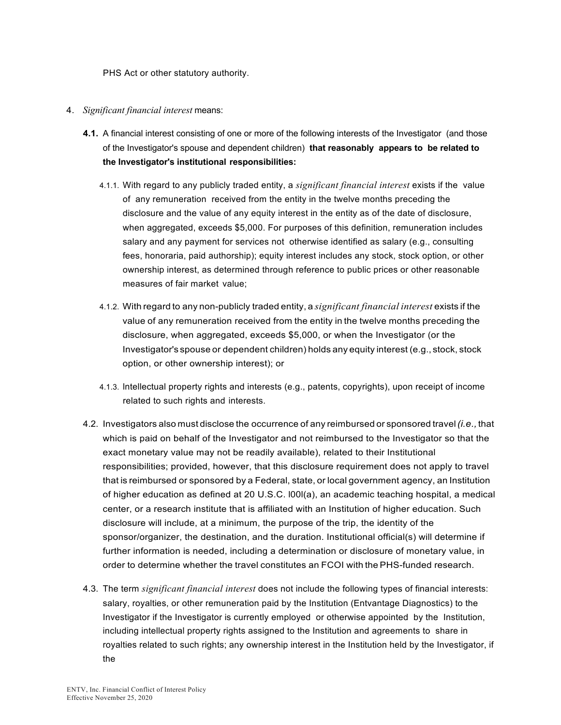PHS Act or other statutory authority.

- 4. *Significant financial interest* means:
	- **4.1.** A financial interest consisting of one or more of the following interests of the Investigator (and those of the Investigator's spouse and dependent children) **that reasonably appears to be related to the Investigator's institutional responsibilities:**
		- 4.1.1. With regard to any publicly traded entity, a *significant financial interest* exists if the value of any remuneration received from the entity in the twelve months preceding the disclosure and the value of any equity interest in the entity as of the date of disclosure, when aggregated, exceeds \$5,000. For purposes of this definition, remuneration includes salary and any payment for services not otherwise identified as salary (e.g., consulting fees, honoraria, paid authorship); equity interest includes any stock, stock option, or other ownership interest, as determined through reference to public prices or other reasonable measures of fair market value;
		- 4.1.2. With regard to any non-publicly traded entity, a *significant financial interest* exists if the value of any remuneration received from the entity in the twelve months preceding the disclosure, when aggregated, exceeds \$5,000, or when the Investigator (or the Investigator's spouse or dependent children) holds any equity interest (e.g., stock, stock option, or other ownership interest); or
		- 4.1.3. lntellectual property rights and interests (e.g., patents, copyrights), upon receipt of income related to such rights and interests.
	- 4.2. Investigators also must disclose the occurrence of any reimbursed or sponsored travel*(i.e.,* that which is paid on behalf of the Investigator and not reimbursed to the Investigator so that the exact monetary value may not be readily available), related to their Institutional responsibilities; provided, however, that this disclosure requirement does not apply to travel that is reimbursed or sponsored by a Federal, state, or local government agency, an Institution of higher education as defined at 20 U.S.C. l00l(a), an academic teaching hospital, a medical center, or a research institute that is affiliated with an Institution of higher education. Such disclosure will include, at a minimum, the purpose of the trip, the identity of the sponsor/organizer, the destination, and the duration. Institutional official(s) will determine if further information is needed, including a determination or disclosure of monetary value, in order to determine whether the travel constitutes an FCOI with the PHS-funded research.
	- 4.3. The term *significant financial interest* does not include the following types of financial interests: salary, royalties, or other remuneration paid by the Institution (Entvantage Diagnostics) to the Investigator if the Investigator is currently employed or otherwise appointed by the Institution, including intellectual property rights assigned to the Institution and agreements to share in royalties related to such rights; any ownership interest in the Institution held by the Investigator, if the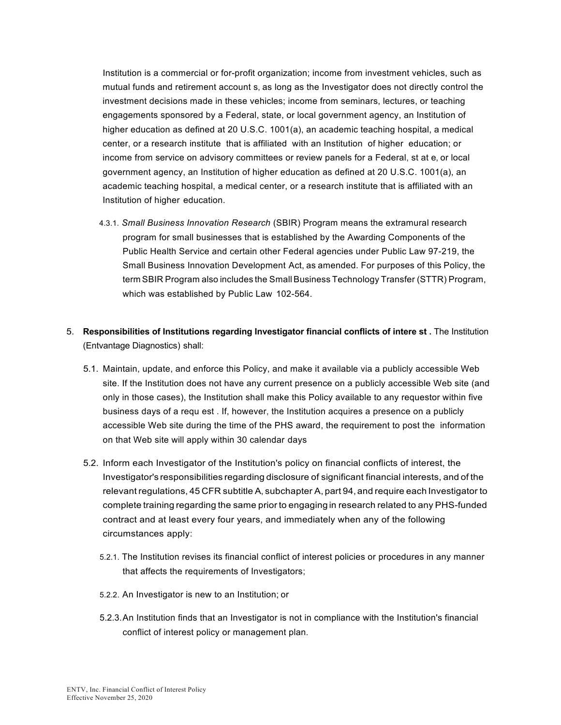Institution is a commercial or for-profit organization; income from investment vehicles, such as mutual funds and retirement account s, as long as the Investigator does not directly control the investment decisions made in these vehicles; income from seminars, lectures, or teaching engagements sponsored by a Federal, state, or local government agency, an Institution of higher education as defined at 20 U.S.C. 1001(a), an academic teaching hospital, a medical center, or a research institute that is affiliated with an Institution of higher education; or income from service on advisory committees or review panels for a Federal, st at e, or local government agency, an Institution of higher education as defined at 20 U.S.C. 1001(a), an academic teaching hospital, a medical center, or a research institute that is affiliated with an Institution of higher education.

- 4.3.1. *Small Business Innovation Research* (SBIR) Program means the extramural research program for small businesses that is established by the Awarding Components of the Public Health Service and certain other Federal agencies under Public Law 97-219, the Small Business Innovation Development Act, as amended. For purposes of this Policy, the term SBIR Program also includes the Small Business Technology Transfer (STTR) Program, which was established by Public Law 102-564.
- 5. **Responsibilities of Institutions regarding Investigator financial conflicts of intere st .** The Institution (Entvantage Diagnostics) shall:
	- 5.1. Maintain, update, and enforce this Policy, and make it available via a publicly accessible Web site. If the Institution does not have any current presence on a publicly accessible Web site (and only in those cases), the Institution shall make this Policy available to any requestor within five business days of a requ est . If, however, the Institution acquires a presence on a publicly accessible Web site during the time of the PHS award, the requirement to post the information on that Web site will apply within 30 calendar days
	- 5.2. Inform each Investigator of the Institution's policy on financial conflicts of interest, the Investigator's responsibilities regarding disclosure of significant financial interests, and of the relevant regulations, 45 CFR subtitle A, subchapter A, part 94, and require each Investigator to complete training regarding the same prior to engaging in research related to any PHS-funded contract and at least every four years, and immediately when any of the following circumstances apply:
		- 5.2.1. The Institution revises its financial conflict of interest policies or procedures in any manner that affects the requirements of Investigators;
		- 5.2.2. An Investigator is new to an Institution; or
		- 5.2.3.An Institution finds that an Investigator is not in compliance with the Institution's financial conflict of interest policy or management plan.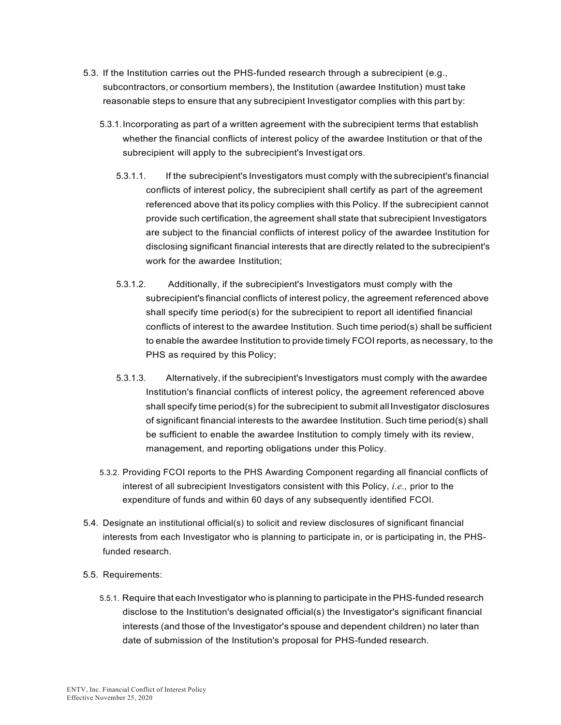- 5.3. If the Institution carries out the PHS-funded research through a subrecipient (e.g., subcontractors, or consortium members), the Institution (awardee Institution) must take reasonable steps to ensure that any subrecipient Investigator complies with this part by:
	- 5.3.1.Incorporating as part of a written agreement with the subrecipient terms that establish whether the financial conflicts of interest policy of the awardee Institution or that of the subrecipient will apply to the subrecipient's Investigat ors.
		- 5.3.1.1. If the subrecipient's Investigators must comply with the subrecipient's financial conflicts of interest policy, the subrecipient shall certify as part of the agreement referenced above that its policy complies with this Policy. If the subrecipient cannot provide such certification,the agreement shall state that subrecipient Investigators are subject to the financial conflicts of interest policy of the awardee Institution for disclosing significant financial interests that are directly related to the subrecipient's work for the awardee Institution;
		- 5.3.1.2. Additionally, if the subrecipient's Investigators must comply with the subrecipient's financial conflicts of interest policy, the agreement referenced above shall specify time period(s) for the subrecipient to report all identified financial conflicts of interest to the awardee Institution. Such time period(s) shall be sufficient to enable the awardee Institution to provide timely FCOI reports, as necessary, to the PHS as required by this Policy;
		- 5.3.1.3. Alternatively, if the subrecipient's Investigators must comply with the awardee Institution's financial conflicts of interest policy, the agreement referenced above shall specify time period(s) for the subrecipient to submit all Investigator disclosures of significant financial interests to the awardee Institution. Such time period(s) shall be sufficient to enable the awardee Institution to comply timely with its review, management, and reporting obligations under this Policy.
	- 5.3.2. Providing FCOI reports to the PHS Awarding Component regarding all financial conflicts of interest of all subrecipient Investigators consistent with this Policy, *i.e.,* prior to the expenditure of funds and within 60 days of any subsequently identified FCOI.
- 5.4. Designate an institutional official(s) to solicit and review disclosures of significant financial interests from each Investigator who is planning to participate in, or is participating in, the PHSfunded research.
- 5.5. Requirements:
	- 5.5.1. Require that each Investigator who is planning to participate in the PHS-funded research disclose to the Institution's designated official(s) the Investigator's significant financial interests (and those of the Investigator's spouse and dependent children) no later than date of submission of the Institution's proposal for PHS-funded research.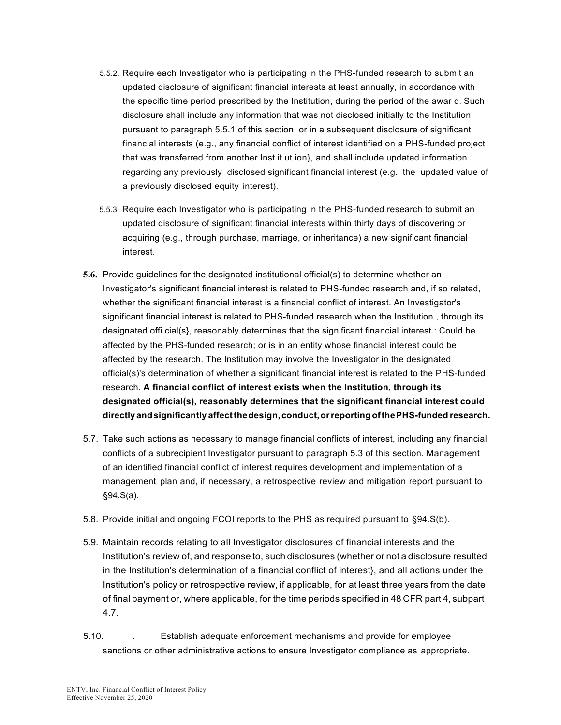- 5.5.2. Require each Investigator who is participating in the PHS-funded research to submit an updated disclosure of significant financial interests at least annually, in accordance with the specific time period prescribed by the Institution, during the period of the awar d. Such disclosure shall include any information that was not disclosed initially to the Institution pursuant to paragraph 5.5.1 of this section, or in a subsequent disclosure of significant financial interests (e.g., any financial conflict of interest identified on a PHS-funded project that was transferred from another Inst it ut ion}, and shall include updated information regarding any previously disclosed significant financial interest (e.g., the updated value of a previously disclosed equity interest).
- 5.5.3. Require each Investigator who is participating in the PHS-funded research to submit an updated disclosure of significant financial interests within thirty days of discovering or acquiring (e.g., through purchase, marriage, or inheritance) a new significant financial interest.
- **5.6.** Provide guidelines for the designated institutional official(s) to determine whether an Investigator's significant financial interest is related to PHS-funded research and, if so related, whether the significant financial interest is a financial conflict of interest. An Investigator's significant financial interest is related to PHS-funded research when the Institution , through its designated offi cial(s}, reasonably determines that the significant financial interest : Could be affected by the PHS-funded research; or is in an entity whose financial interest could be affected by the research. The Institution may involve the Investigator in the designated official(s)'s determination of whether a significant financial interest is related to the PHS-funded research. **A financial conflict of interest exists when the Institution, through its designated official(s), reasonably determines that the significant financial interest could directly andsignificantly affectthedesign,conduct,orreportingofthePHS-funded research.**
- 5.7. Take such actions as necessary to manage financial conflicts of interest, including any financial conflicts of a subrecipient Investigator pursuant to paragraph 5.3 of this section. Management of an identified financial conflict of interest requires development and implementation of a management plan and, if necessary, a retrospective review and mitigation report pursuant to §94.S(a).
- 5.8. Provide initial and ongoing FCOI reports to the PHS as required pursuant to §94.S(b).
- 5.9. Maintain records relating to all Investigator disclosures of financial interests and the Institution's review of, and response to, such disclosures (whether or not a disclosure resulted in the Institution's determination of a financial conflict of interest}, and all actions under the Institution's policy or retrospective review, if applicable, for at least three years from the date of final payment or, where applicable, for the time periods specified in 48 CFR part 4, subpart 4.7.
- 5.10. . Establish adequate enforcement mechanisms and provide for employee sanctions or other administrative actions to ensure Investigator compliance as appropriate.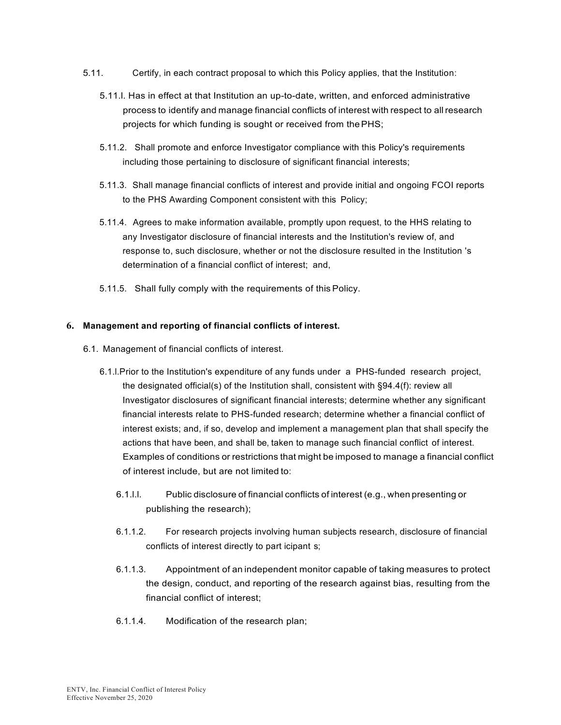- 5.11. Certify, in each contract proposal to which this Policy applies, that the Institution:
	- 5.11.l. Has in effect at that Institution an up-to-date, written, and enforced administrative process to identify and manage financial conflicts of interest with respect to allresearch projects for which funding is sought or received from thePHS;
	- 5.11.2. Shall promote and enforce Investigator compliance with this Policy's requirements including those pertaining to disclosure of significant financial interests;
	- 5.11.3. Shall manage financial conflicts of interest and provide initial and ongoing FCOI reports to the PHS Awarding Component consistent with this Policy;
	- 5.11.4. Agrees to make information available, promptly upon request, to the HHS relating to any Investigator disclosure of financial interests and the Institution's review of, and response to, such disclosure, whether or not the disclosure resulted in the Institution 's determination of a financial conflict of interest; and,
	- 5.11.5. Shall fully comply with the requirements of this Policy.

## **6. Management and reporting of financial conflicts of interest.**

- 6.1. Management of financial conflicts of interest.
	- 6.1.l.Prior to the Institution's expenditure of any funds under a PHS-funded research project, the designated official(s) of the Institution shall, consistent with §94.4(f): review all Investigator disclosures of significant financial interests; determine whether any significant financial interests relate to PHS-funded research; determine whether a financial conflict of interest exists; and, if so, develop and implement a management plan that shall specify the actions that have been, and shall be, taken to manage such financial conflict of interest. Examples of conditions or restrictions that might be imposed to manage a financial conflict of interest include, but are not limited to:
		- 6.1.l.l. Public disclosure of financial conflicts of interest (e.g., when presenting or publishing the research);
		- 6.1.1.2. For research projects involving human subjects research, disclosure of financial conflicts of interest directly to part icipant s;
		- 6.1.1.3. Appointment of an independent monitor capable of taking measures to protect the design, conduct, and reporting of the research against bias, resulting from the financial conflict of interest;
		- 6.1.1.4. Modification of the research plan;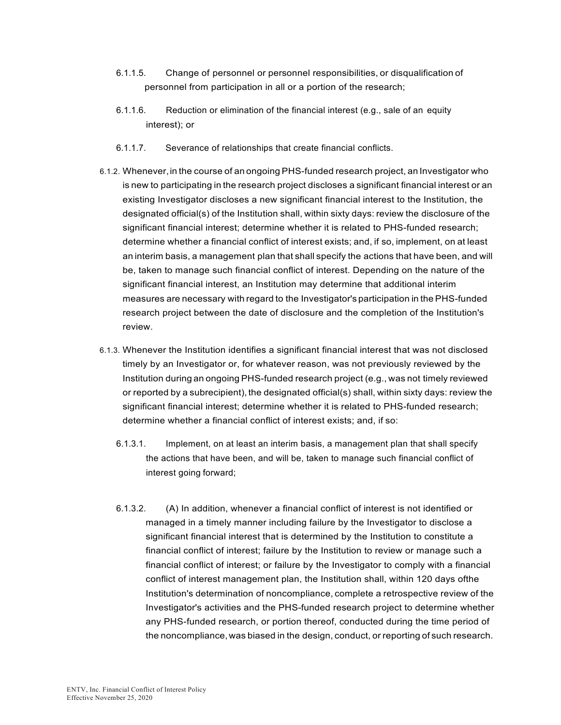- 6.1.1.5. Change of personnel or personnel responsibilities, or disqualification of personnel from participation in all or a portion of the research;
- 6.1.1.6. Reduction or elimination of the financial interest (e.g., sale of an equity interest); or
- 6.1.1.7. Severance of relationships that create financial conflicts.
- 6.1.2. Whenever,in the course of an ongoing PHS-funded research project, an Investigator who is new to participating in the research project discloses a significant financial interest or an existing Investigator discloses a new significant financial interest to the Institution, the designated official(s) of the Institution shall, within sixty days: review the disclosure of the significant financial interest; determine whether it is related to PHS-funded research; determine whether a financial conflict of interest exists; and, if so, implement, on at least an interim basis, a management plan that shall specify the actions that have been, and will be, taken to manage such financial conflict of interest. Depending on the nature of the significant financial interest, an Institution may determine that additional interim measures are necessary with regard to the Investigator's participation in the PHS-funded research project between the date of disclosure and the completion of the Institution's review.
- 6.1.3. Whenever the Institution identifies a significant financial interest that was not disclosed timely by an Investigator or, for whatever reason, was not previously reviewed by the Institution during an ongoing PHS-funded research project (e.g., was not timely reviewed or reported by a subrecipient), the designated official(s) shall, within sixty days: review the significant financial interest; determine whether it is related to PHS-funded research; determine whether a financial conflict of interest exists; and, if so:
	- 6.1.3.1. Implement, on at least an interim basis, a management plan that shall specify the actions that have been, and will be, taken to manage such financial conflict of interest going forward;
	- 6.1.3.2. (A) In addition, whenever a financial conflict of interest is not identified or managed in a timely manner including failure by the Investigator to disclose a significant financial interest that is determined by the Institution to constitute a financial conflict of interest; failure by the Institution to review or manage such a financial conflict of interest; or failure by the Investigator to comply with a financial conflict of interest management plan, the Institution shall, within 120 days ofthe Institution's determination of noncompliance, complete a retrospective review of the Investigator's activities and the PHS-funded research project to determine whether any PHS-funded research, or portion thereof, conducted during the time period of the noncompliance,was biased in the design, conduct, or reporting of such research.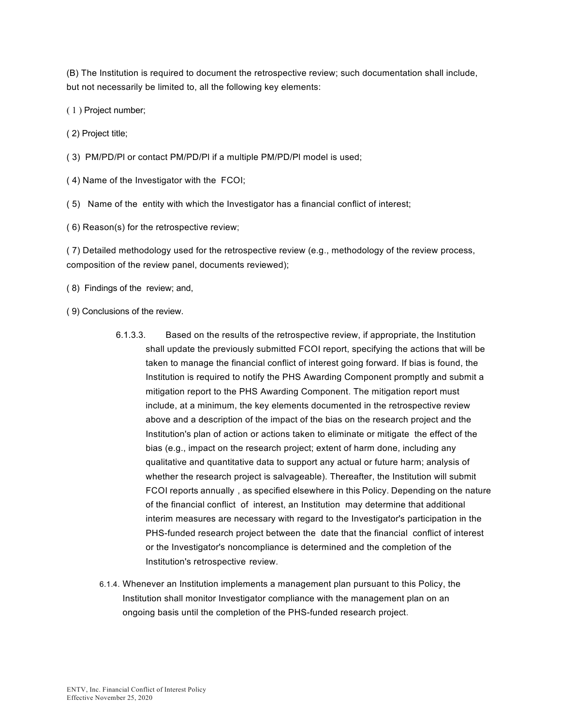(B) The Institution is required to document the retrospective review; such documentation shall include, but not necessarily be limited to, all the following key elements:

( 1 ) Project number;

( 2) Project title;

( 3) PM/PD/Pl or contact PM/PD/Pl if a multiple PM/PD/Pl model is used;

( 4) Name of the Investigator with the FCOI;

( 5) Name of the entity with which the Investigator has a financial conflict of interest;

( 6) Reason(s) for the retrospective review;

( 7) Detailed methodology used for the retrospective review (e.g., methodology of the review process, composition of the review panel, documents reviewed);

( 8) Findings of the review; and,

( 9) Conclusions of the review.

- 6.1.3.3. Based on the results of the retrospective review, if appropriate, the Institution shall update the previously submitted FCOI report, specifying the actions that will be taken to manage the financial conflict of interest going forward. If bias is found, the Institution is required to notify the PHS Awarding Component promptly and submit a mitigation report to the PHS Awarding Component. The mitigation report must include, at a minimum, the key elements documented in the retrospective review above and a description of the impact of the bias on the research project and the Institution's plan of action or actions taken to eliminate or mitigate the effect of the bias (e.g., impact on the research project; extent of harm done, including any qualitative and quantitative data to support any actual or future harm; analysis of whether the research project is salvageable). Thereafter, the Institution will submit FCOI reports annually , as specified elsewhere in this Policy. Depending on the nature of the financial conflict of interest, an Institution may determine that additional interim measures are necessary with regard to the Investigator's participation in the PHS-funded research project between the date that the financial conflict of interest or the Investigator's noncompliance is determined and the completion of the Institution's retrospective review.
- 6.1.4. Whenever an Institution implements a management plan pursuant to this Policy, the Institution shall monitor Investigator compliance with the management plan on an ongoing basis until the completion of the PHS-funded research project.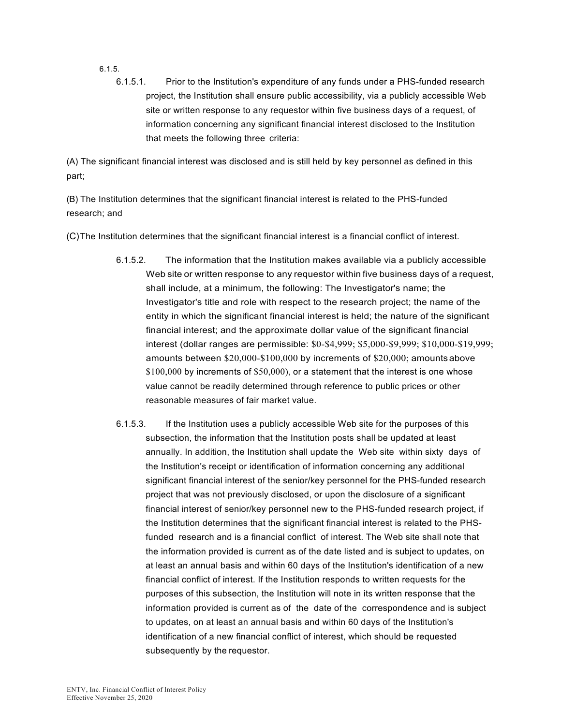6.1.5.

6.1.5.1. Prior to the Institution's expenditure of any funds under a PHS-funded research project, the Institution shall ensure public accessibility, via a publicly accessible Web site or written response to any requestor within five business days of a request, of information concerning any significant financial interest disclosed to the Institution that meets the following three criteria:

(A) The significant financial interest was disclosed and is still held by key personnel as defined in this part;

(B) The Institution determines that the significant financial interest is related to the PHS-funded research; and

(C)The Institution determines that the significant financial interest is a financial conflict of interest.

- 6.1.5.2. The information that the Institution makes available via a publicly accessible Web site or written response to any requestor within five business days of a request, shall include, at a minimum, the following: The Investigator's name; the Investigator's title and role with respect to the research project; the name of the entity in which the significant financial interest is held; the nature of the significant financial interest; and the approximate dollar value of the significant financial interest (dollar ranges are permissible: \$0-\$4,999; \$5,000-\$9,999; \$10,000-\$19,999; amounts between \$20,000-\$100,000 by increments of \$20,000; amountsabove \$100,000 by increments of \$50,000), or a statement that the interest is one whose value cannot be readily determined through reference to public prices or other reasonable measures of fair market value.
- 6.1.5.3. If the Institution uses a publicly accessible Web site for the purposes of this subsection, the information that the Institution posts shall be updated at least annually. In addition, the Institution shall update the Web site within sixty days of the Institution's receipt or identification of information concerning any additional significant financial interest of the senior/key personnel for the PHS-funded research project that was not previously disclosed, or upon the disclosure of a significant financial interest of senior/key personnel new to the PHS-funded research project, if the Institution determines that the significant financial interest is related to the PHSfunded research and is a financial conflict of interest. The Web site shall note that the information provided is current as of the date listed and is subject to updates, on at least an annual basis and within 60 days of the Institution's identification of a new financial conflict of interest. If the Institution responds to written requests for the purposes of this subsection, the Institution will note in its written response that the information provided is current as of the date of the correspondence and is subject to updates, on at least an annual basis and within 60 days of the Institution's identification of a new financial conflict of interest, which should be requested subsequently by the requestor.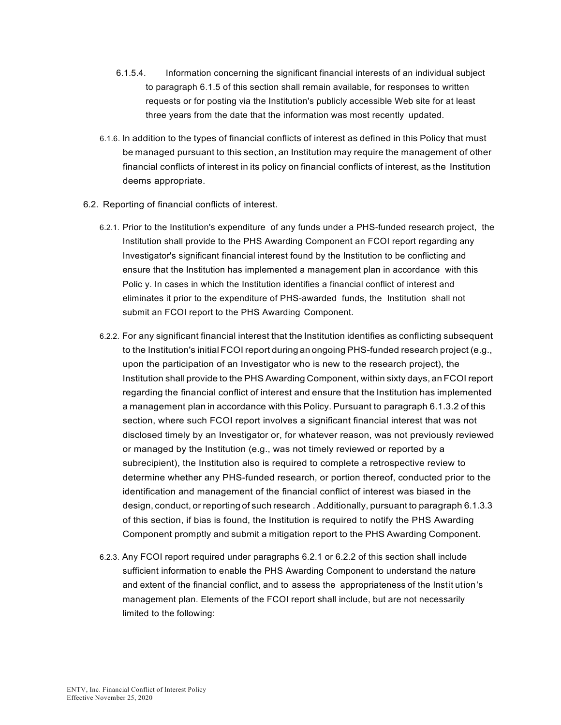- 6.1.5.4. Information concerning the significant financial interests of an individual subject to paragraph 6.1.5 of this section shall remain available, for responses to written requests or for posting via the Institution's publicly accessible Web site for at least three years from the date that the information was most recently updated.
- 6.1.6. ln addition to the types of financial conflicts of interest as defined in this Policy that must be managed pursuant to this section, an Institution may require the management of other financial conflicts of interest in its policy on financial conflicts of interest, as the Institution deems appropriate.
- 6.2. Reporting of financial conflicts of interest.
	- 6.2.1. Prior to the Institution's expenditure of any funds under a PHS-funded research project, the Institution shall provide to the PHS Awarding Component an FCOI report regarding any Investigator's significant financial interest found by the Institution to be conflicting and ensure that the Institution has implemented a management plan in accordance with this Polic y. In cases in which the Institution identifies a financial conflict of interest and eliminates it prior to the expenditure of PHS-awarded funds, the Institution shall not submit an FCOI report to the PHS Awarding Component.
	- 6.2.2. For any significant financial interest that the Institution identifies as conflicting subsequent to the Institution's initial FCOI report during an ongoing PHS-funded research project (e.g., upon the participation of an Investigator who is new to the research project), the Institution shall provide to the PHS Awarding Component, within sixty days, an FCOI report regarding the financial conflict of interest and ensure that the Institution has implemented a management plan in accordance with this Policy. Pursuant to paragraph 6.1.3.2 of this section, where such FCOI report involves a significant financial interest that was not disclosed timely by an Investigator or, for whatever reason, was not previously reviewed or managed by the Institution (e.g., was not timely reviewed or reported by a subrecipient), the Institution also is required to complete a retrospective review to determine whether any PHS-funded research, or portion thereof, conducted prior to the identification and management of the financial conflict of interest was biased in the design, conduct, or reporting of such research . Additionally, pursuant to paragraph 6.1.3.3 of this section, if bias is found, the Institution is required to notify the PHS Awarding Component promptly and submit a mitigation report to the PHS Awarding Component.
	- 6.2.3. Any FCOI report required under paragraphs 6.2.1 or 6.2.2 of this section shall include sufficient information to enable the PHS Awarding Component to understand the nature and extent of the financial conflict, and to assess the appropriateness of the Instit ution's management plan. Elements of the FCOI report shall include, but are not necessarily limited to the following: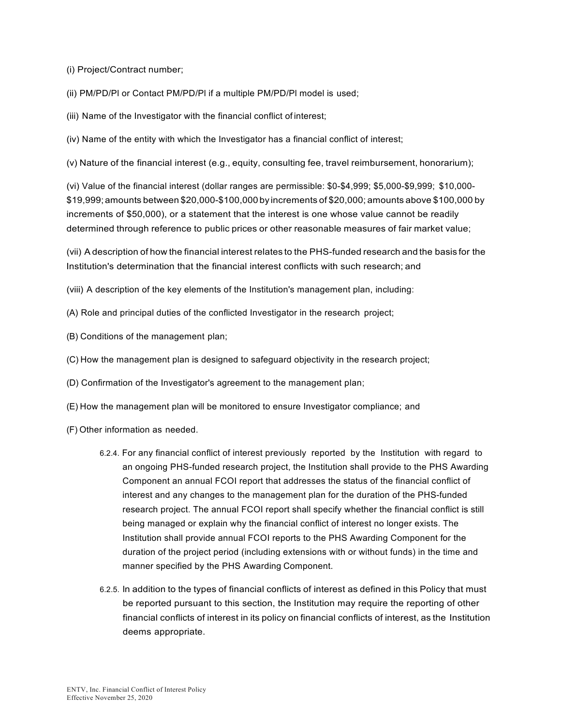(i) Project/Contract number;

(ii) PM/PD/Pl or Contact PM/PD/Pl if a multiple PM/PD/Pl model is used;

(iii) Name of the Investigator with the financial conflict of interest;

(iv) Name of the entity with which the Investigator has a financial conflict of interest;

(v) Nature of the financial interest (e.g., equity, consulting fee, travel reimbursement, honorarium);

(vi) Value of the financial interest (dollar ranges are permissible: \$0-\$4,999; \$5,000-\$9,999; \$10,000- \$19,999;amounts between \$20,000-\$100,000by increments of \$20,000; amounts above \$100,000 by increments of \$50,000), or a statement that the interest is one whose value cannot be readily determined through reference to public prices or other reasonable measures of fair market value;

(vii) A description of how the financial interest relates to the PHS-funded research and the basis for the Institution's determination that the financial interest conflicts with such research; and

(viii) A description of the key elements of the Institution's management plan, including:

(A) Role and principal duties of the conflicted Investigator in the research project;

- (B) Conditions of the management plan;
- (C) How the management plan is designed to safeguard objectivity in the research project;

(D) Confirmation of the Investigator's agreement to the management plan;

- (E) How the management plan will be monitored to ensure Investigator compliance; and
- (F) Other information as needed.
	- 6.2.4. For any financial conflict of interest previously reported by the Institution with regard to an ongoing PHS-funded research project, the Institution shall provide to the PHS Awarding Component an annual FCOI report that addresses the status of the financial conflict of interest and any changes to the management plan for the duration of the PHS-funded research project. The annual FCOI report shall specify whether the financial conflict is still being managed or explain why the financial conflict of interest no longer exists. The Institution shall provide annual FCOI reports to the PHS Awarding Component for the duration of the project period (including extensions with or without funds) in the time and manner specified by the PHS Awarding Component.
	- 6.2.5. ln addition to the types of financial conflicts of interest as defined in this Policy that must be reported pursuant to this section, the Institution may require the reporting of other financial conflicts of interest in its policy on financial conflicts of interest, as the Institution deems appropriate.